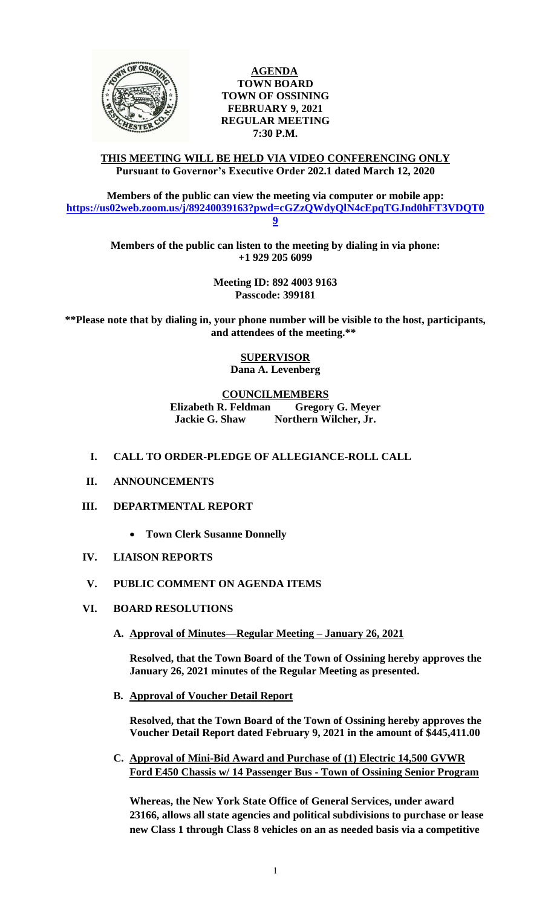

## **AGENDA TOWN BOARD TOWN OF OSSINING FEBRUARY 9, 2021 REGULAR MEETING 7:30 P.M.**

### **THIS MEETING WILL BE HELD VIA VIDEO CONFERENCING ONLY Pursuant to Governor's Executive Order 202.1 dated March 12, 2020**

**Members of the public can view the meeting via computer or mobile app: [https://us02web.zoom.us/j/89240039163?pwd=cGZzQWdyQlN4cEpqTGJnd0hFT3VDQT0](https://us02web.zoom.us/j/89240039163?pwd=cGZzQWdyQlN4cEpqTGJnd0hFT3VDQT09) [9](https://us02web.zoom.us/j/89240039163?pwd=cGZzQWdyQlN4cEpqTGJnd0hFT3VDQT09)**

> **Members of the public can listen to the meeting by dialing in via phone: +1 929 205 6099**

> > **Meeting ID: 892 4003 9163 Passcode: 399181**

**\*\*Please note that by dialing in, your phone number will be visible to the host, participants, and attendees of the meeting.\*\*** 

> **SUPERVISOR Dana A. Levenberg**

## **COUNCILMEMBERS**

**Elizabeth R. Feldman Gregory G. Meyer Jackie G. Shaw Northern Wilcher, Jr.**

- **I. CALL TO ORDER-PLEDGE OF ALLEGIANCE-ROLL CALL**
- **II. ANNOUNCEMENTS**
- **III. DEPARTMENTAL REPORT**
	- **Town Clerk Susanne Donnelly**
- **IV. LIAISON REPORTS**
- **V. PUBLIC COMMENT ON AGENDA ITEMS**
- **VI. BOARD RESOLUTIONS**
	- **A. Approval of Minutes—Regular Meeting – January 26, 2021**

**Resolved, that the Town Board of the Town of Ossining hereby approves the January 26, 2021 minutes of the Regular Meeting as presented.**

**B. Approval of Voucher Detail Report**

**Resolved, that the Town Board of the Town of Ossining hereby approves the Voucher Detail Report dated February 9, 2021 in the amount of \$445,411.00**

**C. Approval of Mini-Bid Award and Purchase of (1) Electric 14,500 GVWR Ford E450 Chassis w/ 14 Passenger Bus - Town of Ossining Senior Program** 

**Whereas, the New York State Office of General Services, under award 23166, allows all state agencies and political subdivisions to purchase or lease new Class 1 through Class 8 vehicles on an as needed basis via a competitive**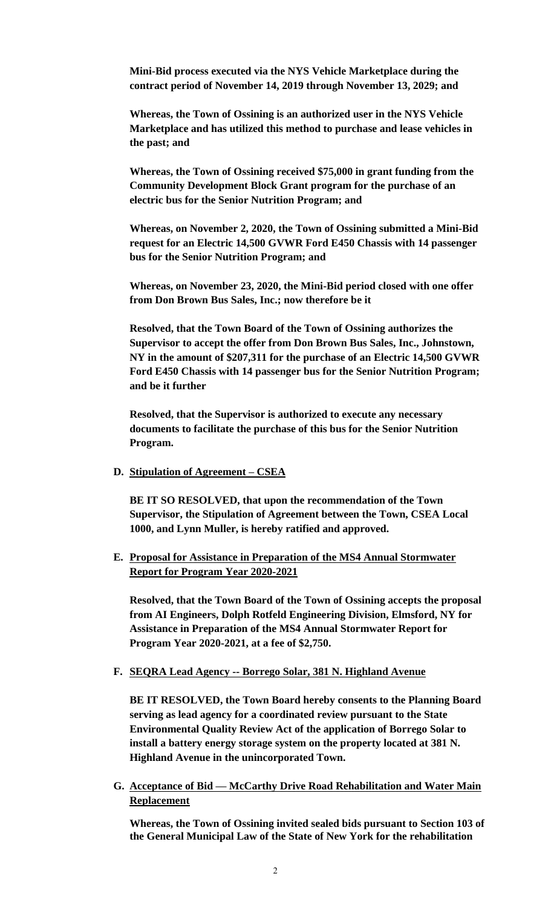**Mini-Bid process executed via the NYS Vehicle Marketplace during the contract period of November 14, 2019 through November 13, 2029; and**

**Whereas, the Town of Ossining is an authorized user in the NYS Vehicle Marketplace and has utilized this method to purchase and lease vehicles in the past; and** 

**Whereas, the Town of Ossining received \$75,000 in grant funding from the Community Development Block Grant program for the purchase of an electric bus for the Senior Nutrition Program; and** 

**Whereas, on November 2, 2020, the Town of Ossining submitted a Mini-Bid request for an Electric 14,500 GVWR Ford E450 Chassis with 14 passenger bus for the Senior Nutrition Program; and**

**Whereas, on November 23, 2020, the Mini-Bid period closed with one offer from Don Brown Bus Sales, Inc.; now therefore be it** 

**Resolved, that the Town Board of the Town of Ossining authorizes the Supervisor to accept the offer from Don Brown Bus Sales, Inc., Johnstown, NY in the amount of \$207,311 for the purchase of an Electric 14,500 GVWR Ford E450 Chassis with 14 passenger bus for the Senior Nutrition Program; and be it further**

**Resolved, that the Supervisor is authorized to execute any necessary documents to facilitate the purchase of this bus for the Senior Nutrition Program.** 

**D. Stipulation of Agreement – CSEA**

**BE IT SO RESOLVED, that upon the recommendation of the Town Supervisor, the Stipulation of Agreement between the Town, CSEA Local 1000, and Lynn Muller, is hereby ratified and approved.** 

**E. Proposal for Assistance in Preparation of the MS4 Annual Stormwater Report for Program Year 2020-2021**

**Resolved, that the Town Board of the Town of Ossining accepts the proposal from AI Engineers, Dolph Rotfeld Engineering Division, Elmsford, NY for Assistance in Preparation of the MS4 Annual Stormwater Report for Program Year 2020-2021, at a fee of \$2,750.**

**F. SEQRA Lead Agency -- Borrego Solar, 381 N. Highland Avenue**

**BE IT RESOLVED, the Town Board hereby consents to the Planning Board serving as lead agency for a coordinated review pursuant to the State Environmental Quality Review Act of the application of Borrego Solar to install a battery energy storage system on the property located at 381 N. Highland Avenue in the unincorporated Town.** 

**G. Acceptance of Bid — McCarthy Drive Road Rehabilitation and Water Main Replacement** 

**Whereas, the Town of Ossining invited sealed bids pursuant to Section 103 of the General Municipal Law of the State of New York for the rehabilitation**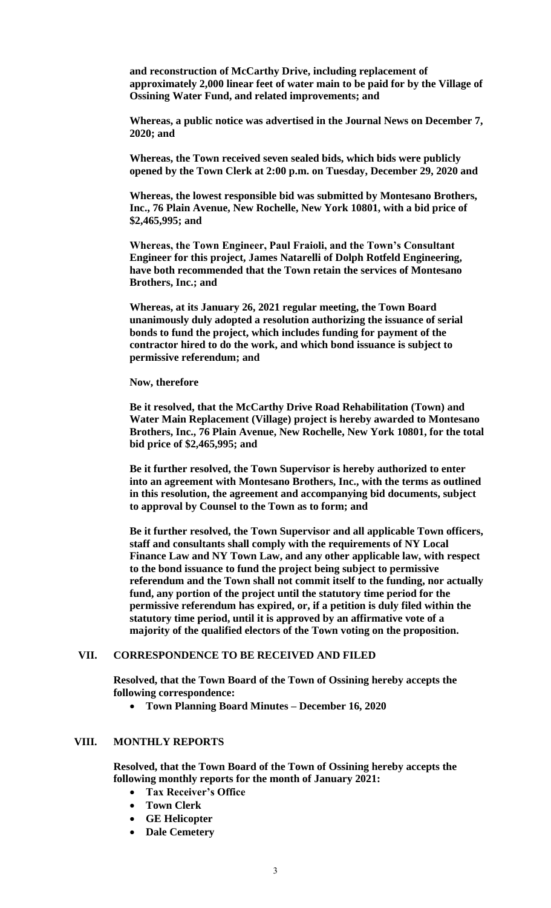**and reconstruction of McCarthy Drive, including replacement of approximately 2,000 linear feet of water main to be paid for by the Village of Ossining Water Fund, and related improvements; and**

**Whereas, a public notice was advertised in the Journal News on December 7, 2020; and** 

**Whereas, the Town received seven sealed bids, which bids were publicly opened by the Town Clerk at 2:00 p.m. on Tuesday, December 29, 2020 and**

**Whereas, the lowest responsible bid was submitted by Montesano Brothers, Inc., 76 Plain Avenue, New Rochelle, New York 10801, with a bid price of \$2,465,995; and**

**Whereas, the Town Engineer, Paul Fraioli, and the Town's Consultant Engineer for this project, James Natarelli of Dolph Rotfeld Engineering, have both recommended that the Town retain the services of Montesano Brothers, Inc.; and** 

**Whereas, at its January 26, 2021 regular meeting, the Town Board unanimously duly adopted a resolution authorizing the issuance of serial bonds to fund the project, which includes funding for payment of the contractor hired to do the work, and which bond issuance is subject to permissive referendum; and**

**Now, therefore**

**Be it resolved, that the McCarthy Drive Road Rehabilitation (Town) and Water Main Replacement (Village) project is hereby awarded to Montesano Brothers, Inc., 76 Plain Avenue, New Rochelle, New York 10801, for the total bid price of \$2,465,995; and** 

**Be it further resolved, the Town Supervisor is hereby authorized to enter into an agreement with Montesano Brothers, Inc., with the terms as outlined in this resolution, the agreement and accompanying bid documents, subject to approval by Counsel to the Town as to form; and**

**Be it further resolved, the Town Supervisor and all applicable Town officers, staff and consultants shall comply with the requirements of NY Local Finance Law and NY Town Law, and any other applicable law, with respect to the bond issuance to fund the project being subject to permissive referendum and the Town shall not commit itself to the funding, nor actually fund, any portion of the project until the statutory time period for the permissive referendum has expired, or, if a petition is duly filed within the statutory time period, until it is approved by an affirmative vote of a majority of the qualified electors of the Town voting on the proposition.**

#### **VII. CORRESPONDENCE TO BE RECEIVED AND FILED**

**Resolved, that the Town Board of the Town of Ossining hereby accepts the following correspondence:**

**Town Planning Board Minutes – December 16, 2020**

#### **VIII. MONTHLY REPORTS**

**Resolved, that the Town Board of the Town of Ossining hereby accepts the following monthly reports for the month of January 2021:**

- **Tax Receiver's Office**
- **Town Clerk**
- **GE Helicopter**
- **Dale Cemetery**